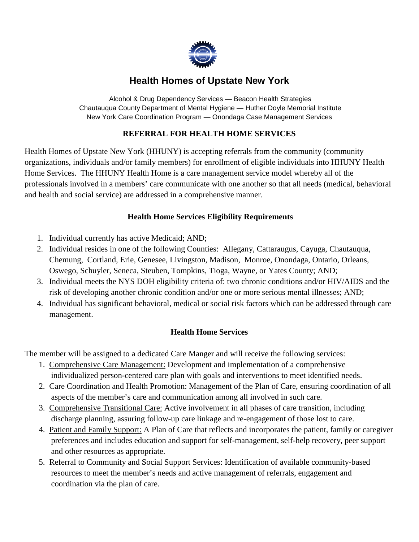

# **Health Homes of Upstate New York**

 Alcohol & Drug Dependency Services — Beacon Health Strategies Chautauqua County Department of Mental Hygiene — Huther Doyle Memorial Institute New York Care Coordination Program — Onondaga Case Management Services

### **REFERRAL FOR HEALTH HOME SERVICES**

Health Homes of Upstate New York (HHUNY) is accepting referrals from the community (community organizations, individuals and/or family members) for enrollment of eligible individuals into HHUNY Health Home Services. The HHUNY Health Home is a care management service model whereby all of the professionals involved in a members' care communicate with one another so that all needs (medical, behavioral and health and social service) are addressed in a comprehensive manner.

### **Health Home Services Eligibility Requirements**

- 1. Individual currently has active Medicaid; AND;
- 2. Individual resides in one of the following Counties: Allegany, Cattaraugus, Cayuga, Chautauqua, Chemung, Cortland, Erie, Genesee, Livingston, Madison, Monroe, Onondaga, Ontario, Orleans, Oswego, Schuyler, Seneca, Steuben, Tompkins, Tioga, Wayne, or Yates County; AND;
- 3. Individual meets the NYS DOH eligibility criteria of: two chronic conditions and/or HIV/AIDS and the risk of developing another chronic condition and/or one or more serious mental illnesses; AND;
- 4. Individual has significant behavioral, medical or social risk factors which can be addressed through care management.

### **Health Home Services**

The member will be assigned to a dedicated Care Manger and will receive the following services:

- 1. Comprehensive Care Management: Development and implementation of a comprehensive individualized person-centered care plan with goals and interventions to meet identified needs.
- 2. Care Coordination and Health Promotion: Management of the Plan of Care, ensuring coordination of all aspects of the member's care and communication among all involved in such care.
- 3. Comprehensive Transitional Care: Active involvement in all phases of care transition, including discharge planning, assuring follow-up care linkage and re-engagement of those lost to care.
- 4. Patient and Family Support: A Plan of Care that reflects and incorporates the patient, family or caregiver preferences and includes education and support for self-management, self-help recovery, peer support and other resources as appropriate.
- 5. Referral to Community and Social Support Services: Identification of available community-based resources to meet the member's needs and active management of referrals, engagement and coordination via the plan of care.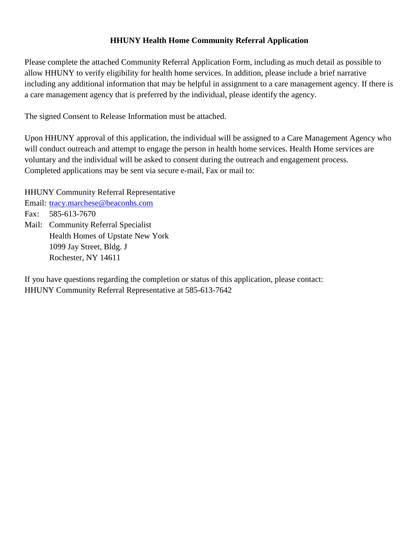#### **HHUNY Health Home Community Referral Application**

Please complete the attached Community Referral Application Form, including as much detail as possible to allow HHUNY to verify eligibility for health home services. In addition, please include a brief narrative including any additional information that may be helpful in assignment to a care management agency. If there is a care management agency that is preferred by the individual, please identify the agency.

The signed Consent to Release Information must be attached.

Upon HHUNY approval of this application, the individual will be assigned to a Care Management Agency who will conduct outreach and attempt to engage the person in health home services. Health Home services are voluntary and the individual will be asked to consent during the outreach and engagement process. Completed applications may be sent via secure e-mail, Fax or mail to:

HHUNY Community Referral Representative Email: tracy.marchese@beaconhs.com Fax: 585-613-7670 Mail: Community Referral Specialist Health Homes of Upstate New York 1099 Jay Street, Bldg. J Rochester, NY 14611

If you have questions regarding the completion or status of this application, please contact: HHUNY Community Referral Representative at 585-613-7642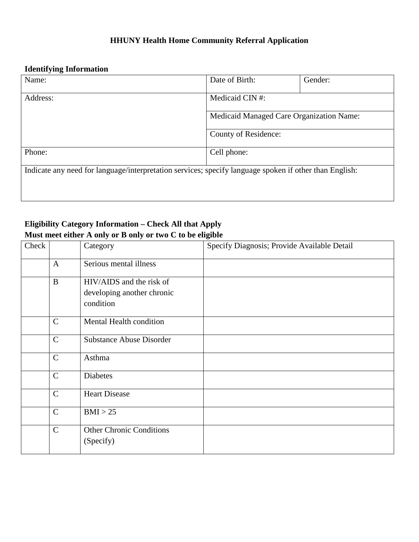# **HHUNY Health Home Community Referral Application**

# **Identifying Information**

| Name:                                                                                                  | Date of Birth:                           | Gender: |
|--------------------------------------------------------------------------------------------------------|------------------------------------------|---------|
| Address:                                                                                               | Medicaid CIN #:                          |         |
|                                                                                                        | Medicaid Managed Care Organization Name: |         |
|                                                                                                        | County of Residence:                     |         |
| Phone:                                                                                                 | Cell phone:                              |         |
| Indicate any need for language/interpretation services; specify language spoken if other than English: |                                          |         |
|                                                                                                        |                                          |         |

# **Eligibility Category Information – Check All that Apply Must meet either A only or B only or two C to be eligible**

| Check |              | Category                                                            | Specify Diagnosis; Provide Available Detail |
|-------|--------------|---------------------------------------------------------------------|---------------------------------------------|
|       | $\mathbf{A}$ | Serious mental illness                                              |                                             |
|       | B            | HIV/AIDS and the risk of<br>developing another chronic<br>condition |                                             |
|       | $\mathsf{C}$ | Mental Health condition                                             |                                             |
|       | $\mathsf{C}$ | <b>Substance Abuse Disorder</b>                                     |                                             |
|       | $\mathsf{C}$ | Asthma                                                              |                                             |
|       | $\mathbf C$  | Diabetes                                                            |                                             |
|       | $\mathbf C$  | <b>Heart Disease</b>                                                |                                             |
|       | $\mathsf{C}$ | BMI > 25                                                            |                                             |
|       | $\mathbf C$  | <b>Other Chronic Conditions</b><br>(Specify)                        |                                             |